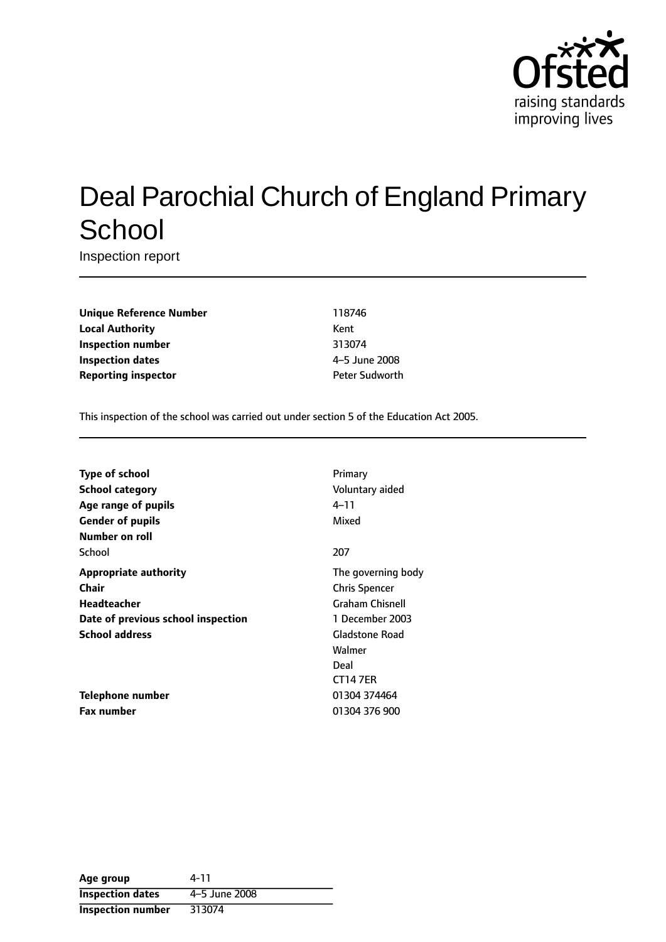

# Deal Parochial Church of England Primary **School**

Inspection report

**Unique Reference Number** 118746 **Local Authority** Kent **Inspection number** 313074 **Inspection dates** 4-5 June 2008 **Reporting inspector CONFIDENTIAL REPORTING PETER Sudworth** 

This inspection of the school was carried out under section 5 of the Education Act 2005.

| <b>Type of school</b>              | Primary                |
|------------------------------------|------------------------|
| <b>School category</b>             | Voluntary aided        |
| Age range of pupils                | 4–11                   |
| <b>Gender of pupils</b>            | Mixed                  |
| Number on roll                     |                        |
| School                             | 207                    |
| <b>Appropriate authority</b>       | The governing body     |
| Chair                              | <b>Chris Spencer</b>   |
| Headteacher                        | <b>Graham Chisnell</b> |
| Date of previous school inspection | 1 December 2003        |
| <b>School address</b>              | <b>Gladstone Road</b>  |
|                                    | Walmer                 |
|                                    | Deal                   |
|                                    | <b>CT147ER</b>         |
| Telephone number                   | 01304 374464           |
| <b>Fax number</b>                  | 01304 376 900          |

| Age group                | 4-11          |
|--------------------------|---------------|
| <b>Inspection dates</b>  | 4-5 June 2008 |
| <b>Inspection number</b> | 313074        |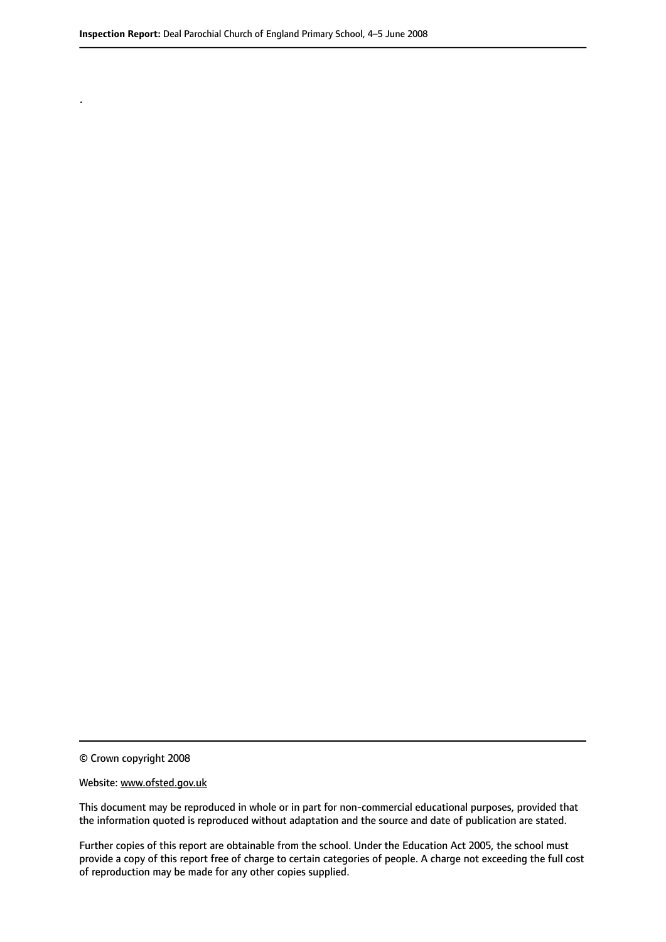© Crown copyright 2008

.

#### Website: www.ofsted.gov.uk

This document may be reproduced in whole or in part for non-commercial educational purposes, provided that the information quoted is reproduced without adaptation and the source and date of publication are stated.

Further copies of this report are obtainable from the school. Under the Education Act 2005, the school must provide a copy of this report free of charge to certain categories of people. A charge not exceeding the full cost of reproduction may be made for any other copies supplied.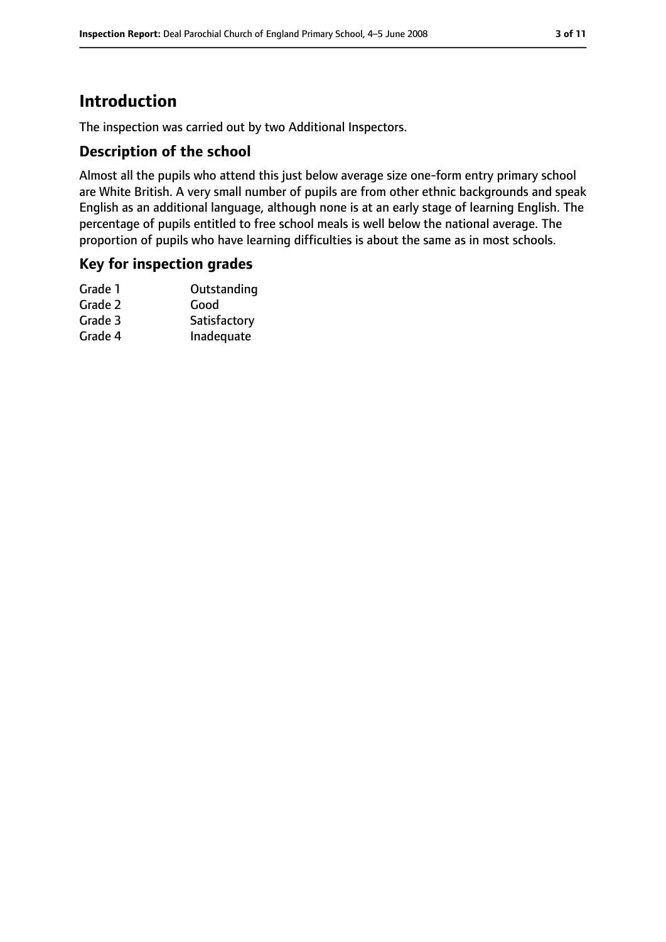# **Introduction**

The inspection was carried out by two Additional Inspectors.

### **Description of the school**

Almost all the pupils who attend this just below average size one-form entry primary school are White British. A very small number of pupils are from other ethnic backgrounds and speak English as an additional language, although none is at an early stage of learning English. The percentage of pupils entitled to free school meals is well below the national average. The proportion of pupils who have learning difficulties is about the same as in most schools.

### **Key for inspection grades**

| Outstanding  |
|--------------|
| Good         |
| Satisfactory |
| Inadequate   |
|              |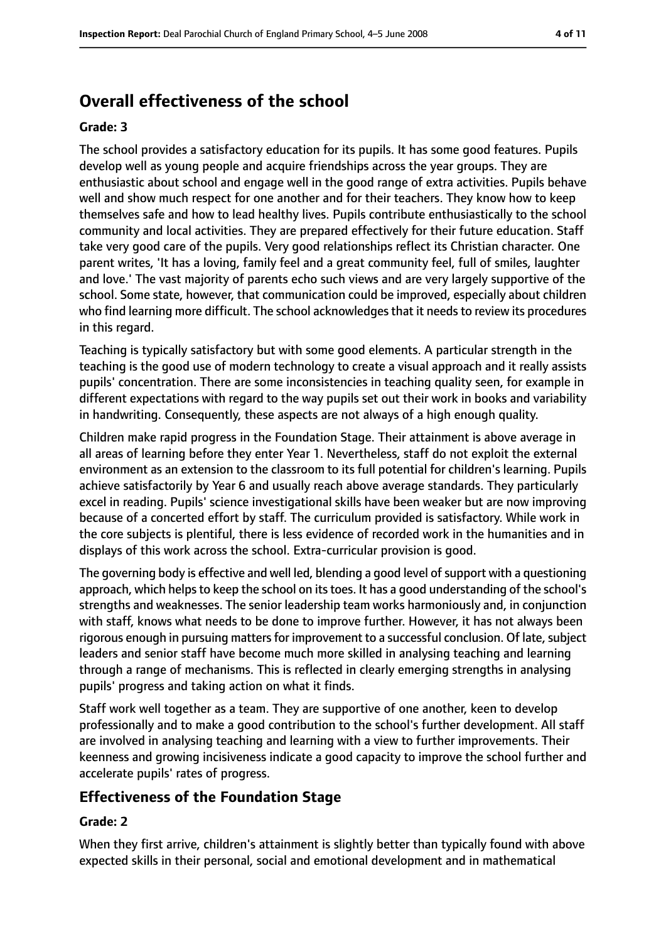# **Overall effectiveness of the school**

#### **Grade: 3**

The school provides a satisfactory education for its pupils. It has some good features. Pupils develop well as young people and acquire friendships across the year groups. They are enthusiastic about school and engage well in the good range of extra activities. Pupils behave well and show much respect for one another and for their teachers. They know how to keep themselves safe and how to lead healthy lives. Pupils contribute enthusiastically to the school community and local activities. They are prepared effectively for their future education. Staff take very good care of the pupils. Very good relationships reflect its Christian character. One parent writes, 'It has a loving, family feel and a great community feel, full of smiles, laughter and love.' The vast majority of parents echo such views and are very largely supportive of the school. Some state, however, that communication could be improved, especially about children who find learning more difficult. The school acknowledges that it needs to review its procedures in this regard.

Teaching is typically satisfactory but with some good elements. A particular strength in the teaching is the good use of modern technology to create a visual approach and it really assists pupils' concentration. There are some inconsistencies in teaching quality seen, for example in different expectations with regard to the way pupils set out their work in books and variability in handwriting. Consequently, these aspects are not always of a high enough quality.

Children make rapid progress in the Foundation Stage. Their attainment is above average in all areas of learning before they enter Year 1. Nevertheless, staff do not exploit the external environment as an extension to the classroom to its full potential for children's learning. Pupils achieve satisfactorily by Year 6 and usually reach above average standards. They particularly excel in reading. Pupils' science investigational skills have been weaker but are now improving because of a concerted effort by staff. The curriculum provided is satisfactory. While work in the core subjects is plentiful, there is less evidence of recorded work in the humanities and in displays of this work across the school. Extra-curricular provision is good.

The governing body is effective and well led, blending a good level of support with a questioning approach, which helps to keep the school on its toes. It has a good understanding of the school's strengths and weaknesses. The senior leadership team works harmoniously and, in conjunction with staff, knows what needs to be done to improve further. However, it has not always been rigorous enough in pursuing matters for improvement to a successful conclusion. Of late, subject leaders and senior staff have become much more skilled in analysing teaching and learning through a range of mechanisms. This is reflected in clearly emerging strengths in analysing pupils' progress and taking action on what it finds.

Staff work well together as a team. They are supportive of one another, keen to develop professionally and to make a good contribution to the school's further development. All staff are involved in analysing teaching and learning with a view to further improvements. Their keenness and growing incisiveness indicate a good capacity to improve the school further and accelerate pupils' rates of progress.

## **Effectiveness of the Foundation Stage**

#### **Grade: 2**

When they first arrive, children's attainment is slightly better than typically found with above expected skills in their personal, social and emotional development and in mathematical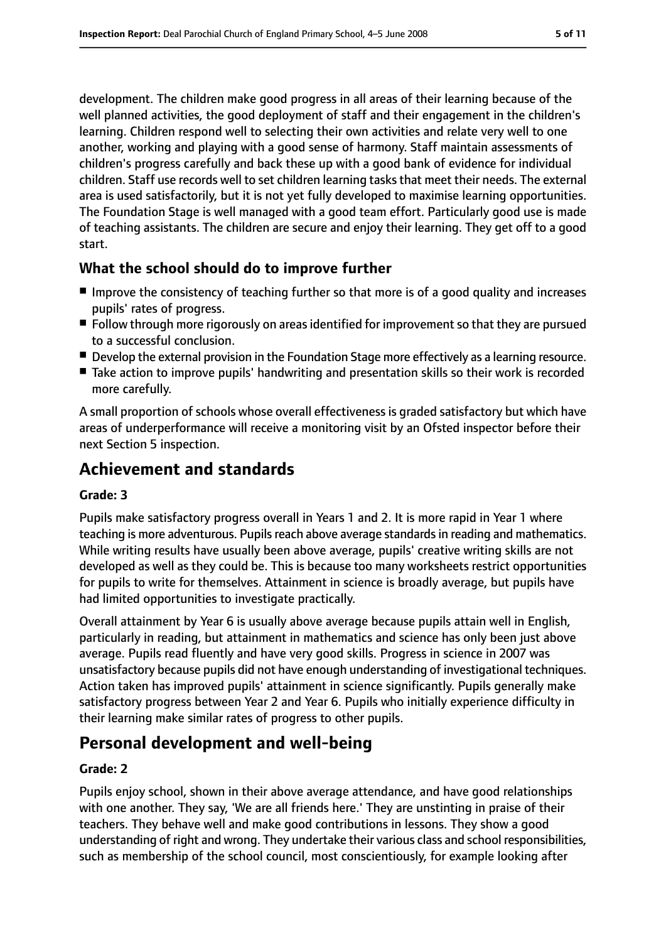development. The children make good progress in all areas of their learning because of the well planned activities, the good deployment of staff and their engagement in the children's learning. Children respond well to selecting their own activities and relate very well to one another, working and playing with a good sense of harmony. Staff maintain assessments of children's progress carefully and back these up with a good bank of evidence for individual children. Staff use records well to set children learning tasks that meet their needs. The external area is used satisfactorily, but it is not yet fully developed to maximise learning opportunities. The Foundation Stage is well managed with a good team effort. Particularly good use is made of teaching assistants. The children are secure and enjoy their learning. They get off to a good start.

## **What the school should do to improve further**

- Improve the consistency of teaching further so that more is of a good quality and increases pupils' rates of progress.
- Follow through more rigorously on areas identified for improvement so that they are pursued to a successful conclusion.
- Develop the external provision in the Foundation Stage more effectively as a learning resource.
- Take action to improve pupils' handwriting and presentation skills so their work is recorded more carefully.

A small proportion of schools whose overall effectiveness is graded satisfactory but which have areas of underperformance will receive a monitoring visit by an Ofsted inspector before their next Section 5 inspection.

# **Achievement and standards**

#### **Grade: 3**

Pupils make satisfactory progress overall in Years 1 and 2. It is more rapid in Year 1 where teaching is more adventurous. Pupils reach above average standards in reading and mathematics. While writing results have usually been above average, pupils' creative writing skills are not developed as well as they could be. This is because too many worksheets restrict opportunities for pupils to write for themselves. Attainment in science is broadly average, but pupils have had limited opportunities to investigate practically.

Overall attainment by Year 6 is usually above average because pupils attain well in English, particularly in reading, but attainment in mathematics and science has only been just above average. Pupils read fluently and have very good skills. Progress in science in 2007 was unsatisfactory because pupils did not have enough understanding of investigational techniques. Action taken has improved pupils' attainment in science significantly. Pupils generally make satisfactory progress between Year 2 and Year 6. Pupils who initially experience difficulty in their learning make similar rates of progress to other pupils.

# **Personal development and well-being**

#### **Grade: 2**

Pupils enjoy school, shown in their above average attendance, and have good relationships with one another. They say, 'We are all friends here.' They are unstinting in praise of their teachers. They behave well and make good contributions in lessons. They show a good understanding of right and wrong. They undertake their various class and school responsibilities, such as membership of the school council, most conscientiously, for example looking after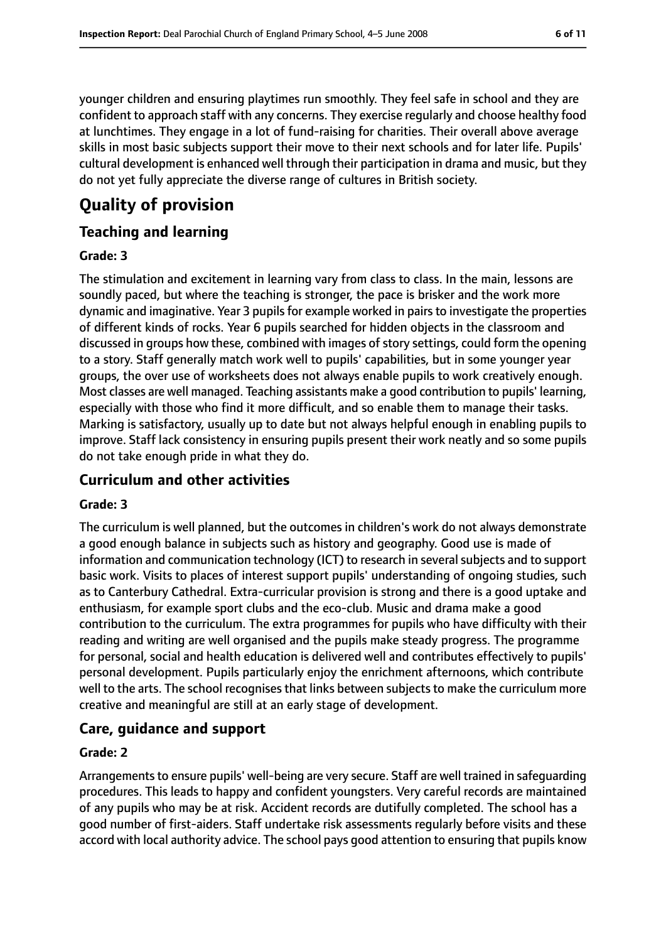younger children and ensuring playtimes run smoothly. They feel safe in school and they are confident to approach staff with any concerns. They exercise regularly and choose healthy food at lunchtimes. They engage in a lot of fund-raising for charities. Their overall above average skills in most basic subjects support their move to their next schools and for later life. Pupils' cultural development is enhanced well through their participation in drama and music, but they do not yet fully appreciate the diverse range of cultures in British society.

# **Quality of provision**

## **Teaching and learning**

#### **Grade: 3**

The stimulation and excitement in learning vary from class to class. In the main, lessons are soundly paced, but where the teaching is stronger, the pace is brisker and the work more dynamic and imaginative. Year 3 pupils for example worked in pairs to investigate the properties of different kinds of rocks. Year 6 pupils searched for hidden objects in the classroom and discussed in groups how these, combined with images of story settings, could form the opening to a story. Staff generally match work well to pupils' capabilities, but in some younger year groups, the over use of worksheets does not always enable pupils to work creatively enough. Most classes are well managed. Teaching assistants make a good contribution to pupils' learning, especially with those who find it more difficult, and so enable them to manage their tasks. Marking is satisfactory, usually up to date but not always helpful enough in enabling pupils to improve. Staff lack consistency in ensuring pupils present their work neatly and so some pupils do not take enough pride in what they do.

## **Curriculum and other activities**

#### **Grade: 3**

The curriculum is well planned, but the outcomes in children's work do not always demonstrate a good enough balance in subjects such as history and geography. Good use is made of information and communication technology (ICT) to research in several subjects and to support basic work. Visits to places of interest support pupils' understanding of ongoing studies, such as to Canterbury Cathedral. Extra-curricular provision is strong and there is a good uptake and enthusiasm, for example sport clubs and the eco-club. Music and drama make a good contribution to the curriculum. The extra programmes for pupils who have difficulty with their reading and writing are well organised and the pupils make steady progress. The programme for personal, social and health education is delivered well and contributes effectively to pupils' personal development. Pupils particularly enjoy the enrichment afternoons, which contribute well to the arts. The school recognises that links between subjects to make the curriculum more creative and meaningful are still at an early stage of development.

## **Care, guidance and support**

### **Grade: 2**

Arrangements to ensure pupils' well-being are very secure. Staff are well trained in safeguarding procedures. This leads to happy and confident youngsters. Very careful records are maintained of any pupils who may be at risk. Accident records are dutifully completed. The school has a good number of first-aiders. Staff undertake risk assessments regularly before visits and these accord with local authority advice. The school pays good attention to ensuring that pupils know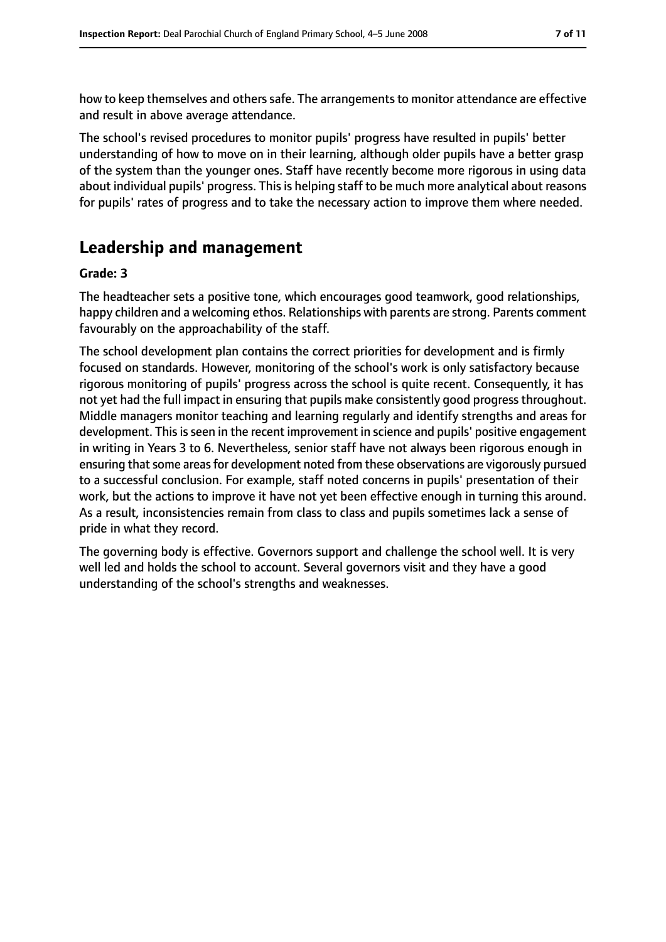how to keep themselves and others safe. The arrangements to monitor attendance are effective and result in above average attendance.

The school's revised procedures to monitor pupils' progress have resulted in pupils' better understanding of how to move on in their learning, although older pupils have a better grasp of the system than the younger ones. Staff have recently become more rigorous in using data about individual pupils' progress. This is helping staff to be much more analytical about reasons for pupils' rates of progress and to take the necessary action to improve them where needed.

# **Leadership and management**

#### **Grade: 3**

The headteacher sets a positive tone, which encourages good teamwork, good relationships, happy children and a welcoming ethos. Relationships with parents are strong. Parents comment favourably on the approachability of the staff.

The school development plan contains the correct priorities for development and is firmly focused on standards. However, monitoring of the school's work is only satisfactory because rigorous monitoring of pupils' progress across the school is quite recent. Consequently, it has not yet had the full impact in ensuring that pupils make consistently good progress throughout. Middle managers monitor teaching and learning regularly and identify strengths and areas for development. This is seen in the recent improvement in science and pupils' positive engagement in writing in Years 3 to 6. Nevertheless, senior staff have not always been rigorous enough in ensuring that some areas for development noted from these observations are vigorously pursued to a successful conclusion. For example, staff noted concerns in pupils' presentation of their work, but the actions to improve it have not yet been effective enough in turning this around. As a result, inconsistencies remain from class to class and pupils sometimes lack a sense of pride in what they record.

The governing body is effective. Governors support and challenge the school well. It is very well led and holds the school to account. Several governors visit and they have a good understanding of the school's strengths and weaknesses.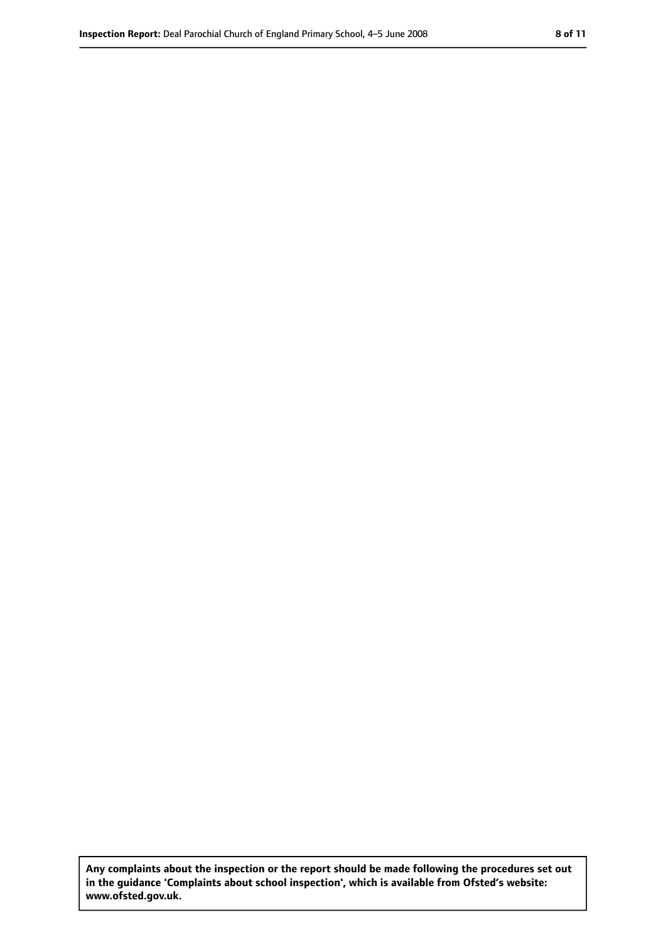**Any complaints about the inspection or the report should be made following the procedures set out in the guidance 'Complaints about school inspection', which is available from Ofsted's website: www.ofsted.gov.uk.**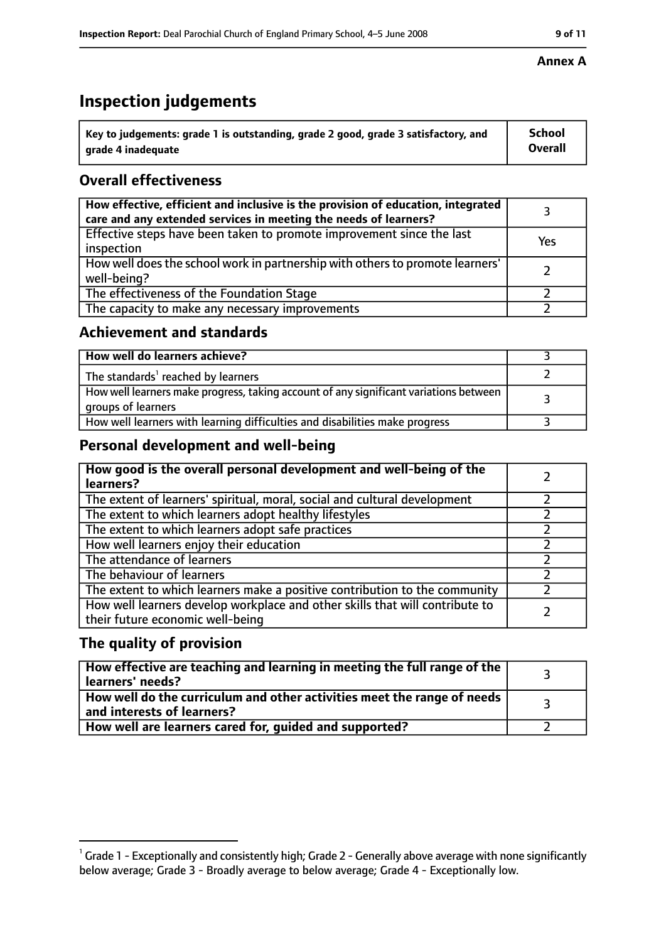# **Inspection judgements**

| $^{\backprime}$ Key to judgements: grade 1 is outstanding, grade 2 good, grade 3 satisfactory, and | <b>School</b>  |
|----------------------------------------------------------------------------------------------------|----------------|
| arade 4 inadeguate                                                                                 | <b>Overall</b> |

# **Overall effectiveness**

| How effective, efficient and inclusive is the provision of education, integrated<br>care and any extended services in meeting the needs of learners? |     |
|------------------------------------------------------------------------------------------------------------------------------------------------------|-----|
| Effective steps have been taken to promote improvement since the last<br>inspection                                                                  | Yes |
| How well does the school work in partnership with others to promote learners'<br>well-being?                                                         |     |
| The effectiveness of the Foundation Stage                                                                                                            |     |
| The capacity to make any necessary improvements                                                                                                      |     |

### **Achievement and standards**

| How well do learners achieve?                                                                               |  |
|-------------------------------------------------------------------------------------------------------------|--|
| The standards <sup>1</sup> reached by learners                                                              |  |
| How well learners make progress, taking account of any significant variations between<br>groups of learners |  |
| How well learners with learning difficulties and disabilities make progress                                 |  |

## **Personal development and well-being**

| How good is the overall personal development and well-being of the<br>learners?                                  |  |
|------------------------------------------------------------------------------------------------------------------|--|
| The extent of learners' spiritual, moral, social and cultural development                                        |  |
| The extent to which learners adopt healthy lifestyles                                                            |  |
| The extent to which learners adopt safe practices                                                                |  |
| How well learners enjoy their education                                                                          |  |
| The attendance of learners                                                                                       |  |
| The behaviour of learners                                                                                        |  |
| The extent to which learners make a positive contribution to the community                                       |  |
| How well learners develop workplace and other skills that will contribute to<br>their future economic well-being |  |

## **The quality of provision**

| How effective are teaching and learning in meeting the full range of the<br>learners' needs?          |  |
|-------------------------------------------------------------------------------------------------------|--|
| How well do the curriculum and other activities meet the range of needs<br>and interests of learners? |  |
| How well are learners cared for, guided and supported?                                                |  |

#### **Annex A**

 $^1$  Grade 1 - Exceptionally and consistently high; Grade 2 - Generally above average with none significantly below average; Grade 3 - Broadly average to below average; Grade 4 - Exceptionally low.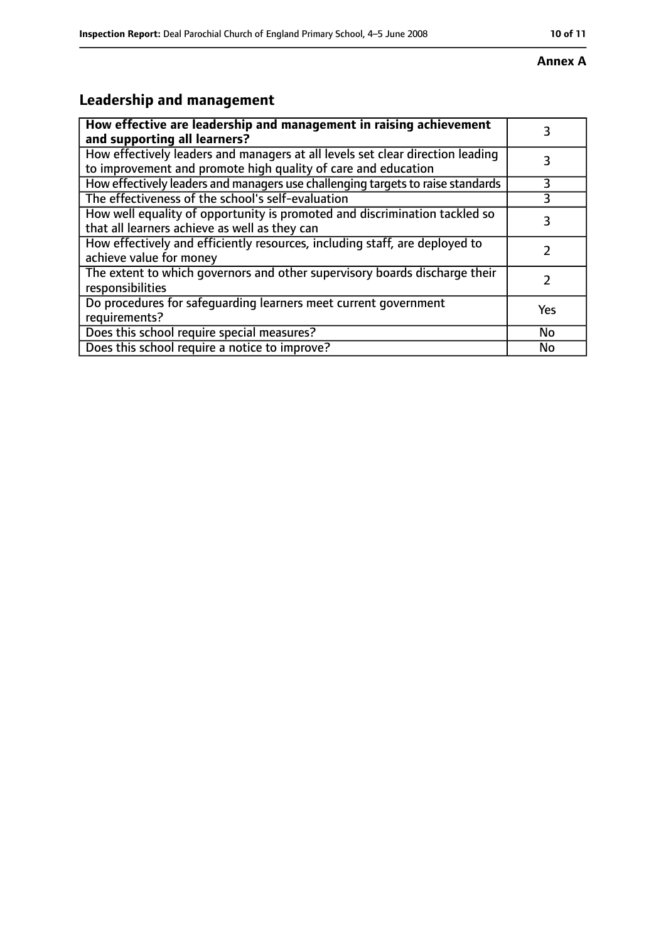#### **Annex A**

# **Leadership and management**

| How effective are leadership and management in raising achievement<br>and supporting all learners?                                              | 3         |
|-------------------------------------------------------------------------------------------------------------------------------------------------|-----------|
| How effectively leaders and managers at all levels set clear direction leading<br>to improvement and promote high quality of care and education |           |
| How effectively leaders and managers use challenging targets to raise standards                                                                 | 3         |
| The effectiveness of the school's self-evaluation                                                                                               |           |
| How well equality of opportunity is promoted and discrimination tackled so<br>that all learners achieve as well as they can                     | 3         |
| How effectively and efficiently resources, including staff, are deployed to<br>achieve value for money                                          |           |
| The extent to which governors and other supervisory boards discharge their<br>responsibilities                                                  |           |
| Do procedures for safequarding learners meet current government<br>requirements?                                                                | Yes       |
| Does this school require special measures?                                                                                                      | <b>No</b> |
| Does this school require a notice to improve?                                                                                                   | No        |